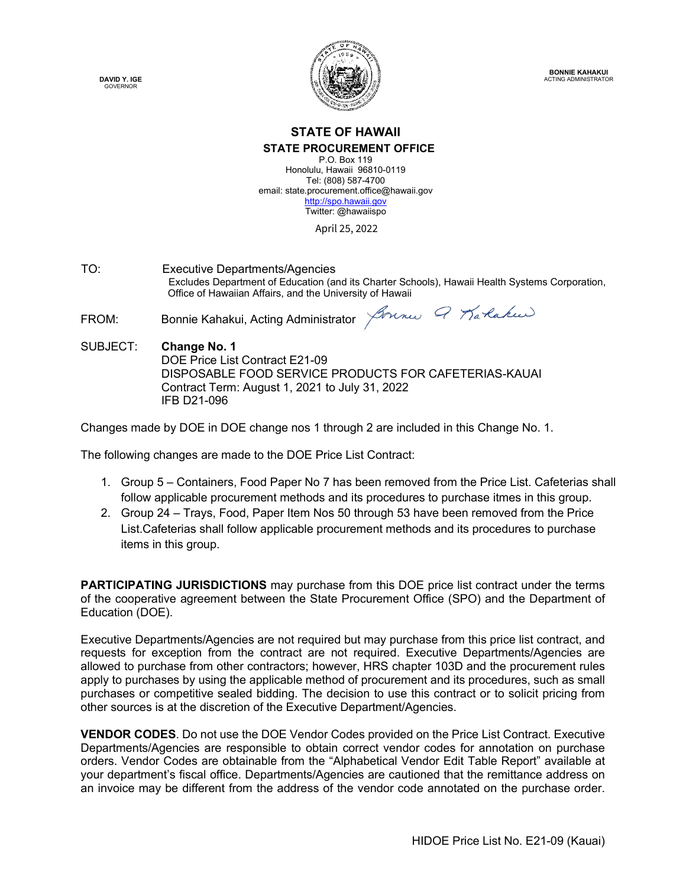**DAVID Y. IGE GOVERNOR** 



# **STATE OF HAWAII STATE PROCUREMENT OFFICE**

P.O. Box 119 Honolulu, Hawaii 96810-0119 Tel: (808) 587-4700 email: state.procurement.office@hawaii.gov [http://spo.hawaii.gov](http://spo.hawaii.gov/) Twitter: @hawaiispo

April 25, 2022

TO: Executive Departments/Agencies Excludes Department of Education (and its Charter Schools), Hawaii Health Systems Corporation, Office of Hawaiian Affairs, and the University of Hawaii

FROM: Bonnie Kahakui, Acting Administrator *Journe 9 Karlaku* 

SUBJECT: **Change No. 1** DOE Price List Contract E21-09 DISPOSABLE FOOD SERVICE PRODUCTS FOR CAFETERIAS-KAUAI Contract Term: August 1, 2021 to July 31, 2022 IFB D21-096

Changes made by DOE in DOE change nos 1 through 2 are included in this Change No. 1.

The following changes are made to the DOE Price List Contract:

- 1. Group 5 Containers, Food Paper No 7 has been removed from the Price List. Cafeterias shall follow applicable procurement methods and its procedures to purchase itmes in this group.
- 2. Group 24 Trays, Food, Paper Item Nos 50 through 53 have been removed from the Price List.Cafeterias shall follow applicable procurement methods and its procedures to purchase items in this group.

**PARTICIPATING JURISDICTIONS** may purchase from this DOE price list contract under the terms of the cooperative agreement between the State Procurement Office (SPO) and the Department of Education (DOE).

Executive Departments/Agencies are not required but may purchase from this price list contract, and requests for exception from the contract are not required. Executive Departments/Agencies are allowed to purchase from other contractors; however, HRS chapter 103D and the procurement rules apply to purchases by using the applicable method of procurement and its procedures, such as small purchases or competitive sealed bidding. The decision to use this contract or to solicit pricing from other sources is at the discretion of the Executive Department/Agencies.

**VENDOR CODES**. Do not use the DOE Vendor Codes provided on the Price List Contract. Executive Departments/Agencies are responsible to obtain correct vendor codes for annotation on purchase orders. Vendor Codes are obtainable from the "Alphabetical Vendor Edit Table Report" available at your department's fiscal office. Departments/Agencies are cautioned that the remittance address on an invoice may be different from the address of the vendor code annotated on the purchase order.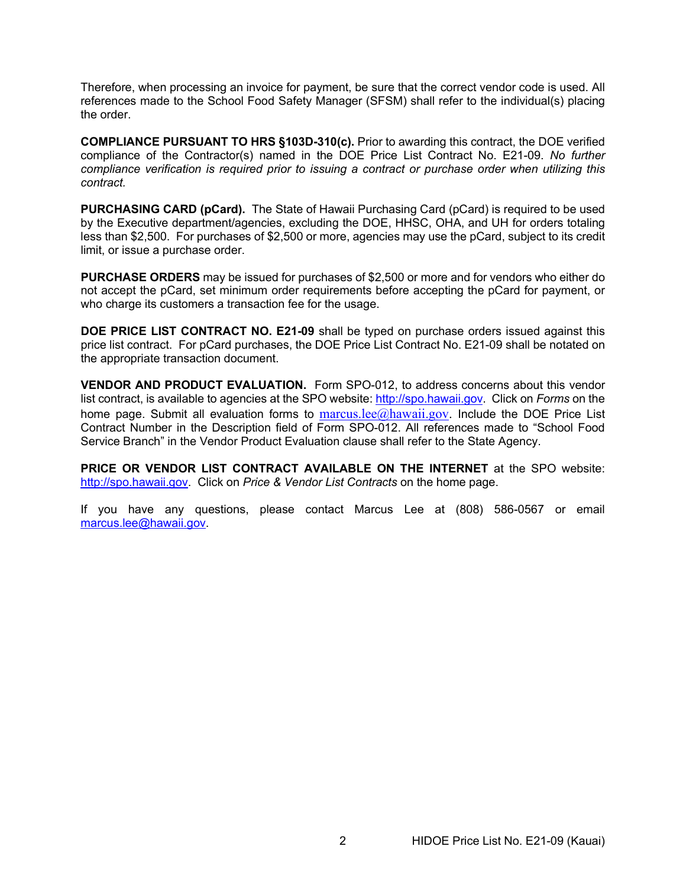Therefore, when processing an invoice for payment, be sure that the correct vendor code is used. All references made to the School Food Safety Manager (SFSM) shall refer to the individual(s) placing the order.

**COMPLIANCE PURSUANT TO HRS §103D-310(c).** Prior to awarding this contract, the DOE verified compliance of the Contractor(s) named in the DOE Price List Contract No. E21-09. *No further compliance verification is required prior to issuing a contract or purchase order when utilizing this contract.*

**PURCHASING CARD (pCard).** The State of Hawaii Purchasing Card (pCard) is required to be used by the Executive department/agencies, excluding the DOE, HHSC, OHA, and UH for orders totaling less than \$2,500. For purchases of \$2,500 or more, agencies may use the pCard, subject to its credit limit, or issue a purchase order.

**PURCHASE ORDERS** may be issued for purchases of \$2,500 or more and for vendors who either do not accept the pCard, set minimum order requirements before accepting the pCard for payment, or who charge its customers a transaction fee for the usage.

**DOE PRICE LIST CONTRACT NO. E21-09** shall be typed on purchase orders issued against this price list contract. For pCard purchases, the DOE Price List Contract No. E21-09 shall be notated on the appropriate transaction document.

**VENDOR AND PRODUCT EVALUATION.** Form SPO-012, to address concerns about this vendor list contract, is available to agencies at the SPO website: [http://spo.hawaii.gov.](http://spo.hawaii.gov/) Click on *Forms* on the home page. Submit all evaluation forms to  $marcus.lee@hawaii.gov$ . Include the DOE Price List Contract Number in the Description field of Form SPO-012. All references made to "School Food Service Branch" in the Vendor Product Evaluation clause shall refer to the State Agency.

**PRICE OR VENDOR LIST CONTRACT AVAILABLE ON THE INTERNET** at the SPO website: [http://spo.hawaii.gov.](http://spo.hawaii.gov/) Click on *Price & Vendor List Contracts* on the home page.

If you have any questions, please contact Marcus Lee at (808) 586-0567 or email [marcus.lee@hawaii.gov.](mailto:marcus.lee@hawaii.gov)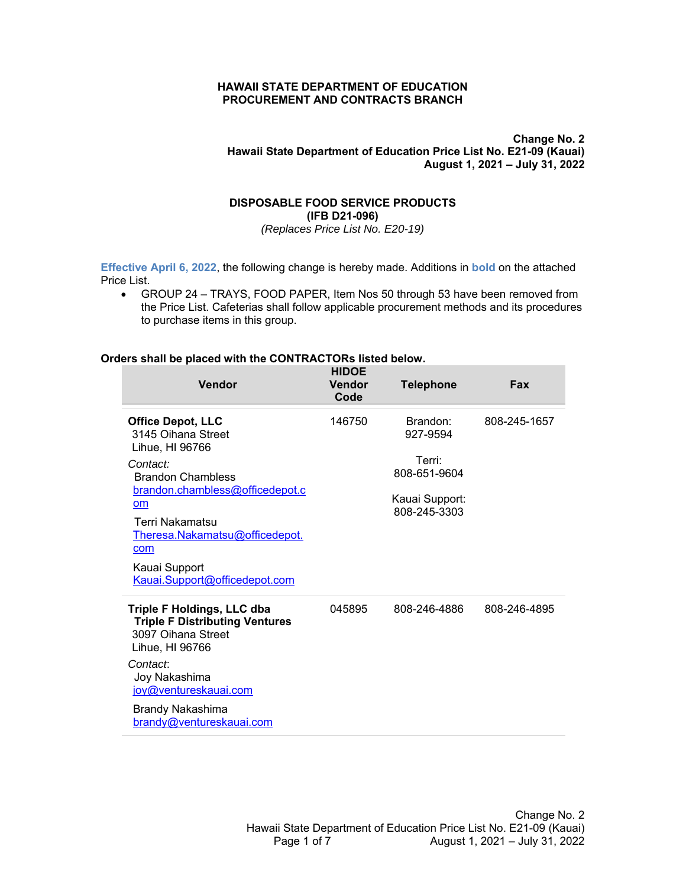#### **HAWAII STATE DEPARTMENT OF EDUCATION PROCUREMENT AND CONTRACTS BRANCH**

## **Change No. 2 Hawaii State Department of Education Price List No. E21-09 (Kauai) August 1, 2021 – July 31, 2022**

# **DISPOSABLE FOOD SERVICE PRODUCTS (IFB D21-096)**

*(Replaces Price List No. E20-19)* 

**Effective April 6, 2022**, the following change is hereby made. Additions in **bold** on the attached Price List.

 GROUP 24 – TRAYS, FOOD PAPER, Item Nos 50 through 53 have been removed from the Price List. Cafeterias shall follow applicable procurement methods and its procedures to purchase items in this group.

## **Orders shall be placed with the CONTRACTORs listed below.**

| <b>Vendor</b>                                                                                                                                                                                                                                                           | <b>HIDOE</b><br><b>Vendor</b><br>Code | <b>Telephone</b>                                                                 | Fax          |
|-------------------------------------------------------------------------------------------------------------------------------------------------------------------------------------------------------------------------------------------------------------------------|---------------------------------------|----------------------------------------------------------------------------------|--------------|
| <b>Office Depot, LLC</b><br>3145 Oihana Street<br>Lihue, HI 96766<br>Contact:<br><b>Brandon Chambless</b><br>brandon.chambless@officedepot.c<br><b>om</b><br>Terri Nakamatsu<br>Theresa.Nakamatsu@officedepot.<br>com<br>Kauai Support<br>Kauai.Support@officedepot.com | 146750                                | Brandon:<br>927-9594<br>Terri:<br>808-651-9604<br>Kauai Support:<br>808-245-3303 | 808-245-1657 |
| Triple F Holdings, LLC dba<br><b>Triple F Distributing Ventures</b><br>3097 Oihana Street<br>Lihue, HI 96766<br>Contact:<br>Joy Nakashima<br>joy@ventureskauai.com<br>Brandy Nakashima<br>brandy@ventureskauai.com                                                      | 045895                                | 808-246-4886                                                                     | 808-246-4895 |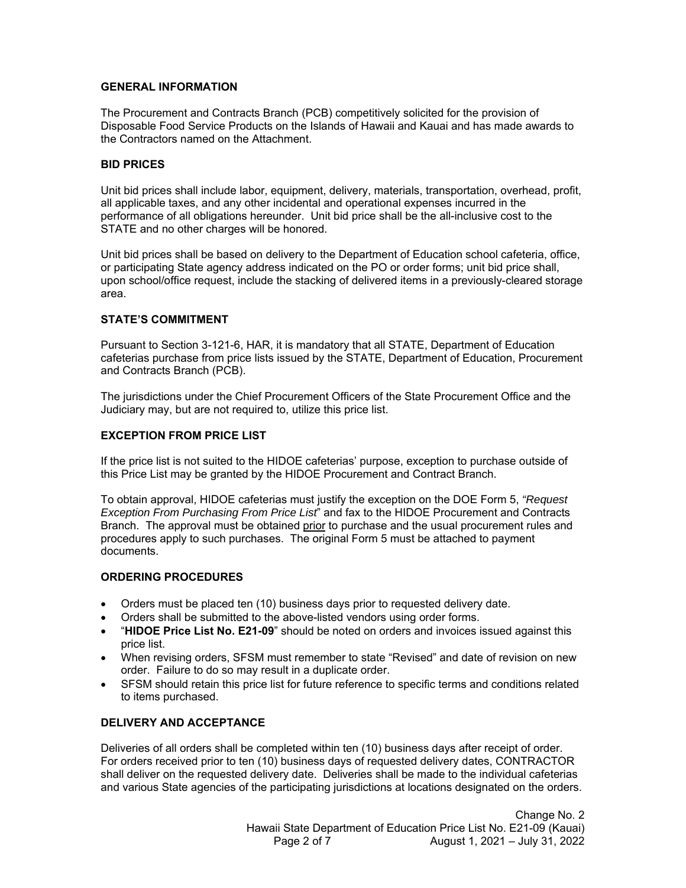## **GENERAL INFORMATION**

The Procurement and Contracts Branch (PCB) competitively solicited for the provision of Disposable Food Service Products on the Islands of Hawaii and Kauai and has made awards to the Contractors named on the Attachment.

#### **BID PRICES**

Unit bid prices shall include labor, equipment, delivery, materials, transportation, overhead, profit, all applicable taxes, and any other incidental and operational expenses incurred in the performance of all obligations hereunder. Unit bid price shall be the all-inclusive cost to the STATE and no other charges will be honored.

Unit bid prices shall be based on delivery to the Department of Education school cafeteria, office, or participating State agency address indicated on the PO or order forms; unit bid price shall, upon school/office request, include the stacking of delivered items in a previously-cleared storage area.

## **STATE'S COMMITMENT**

Pursuant to Section 3-121-6, HAR, it is mandatory that all STATE, Department of Education cafeterias purchase from price lists issued by the STATE, Department of Education, Procurement and Contracts Branch (PCB).

The jurisdictions under the Chief Procurement Officers of the State Procurement Office and the Judiciary may, but are not required to, utilize this price list.

## **EXCEPTION FROM PRICE LIST**

If the price list is not suited to the HIDOE cafeterias' purpose, exception to purchase outside of this Price List may be granted by the HIDOE Procurement and Contract Branch.

To obtain approval, HIDOE cafeterias must justify the exception on the DOE Form 5, *"Request Exception From Purchasing From Price List*" and fax to the HIDOE Procurement and Contracts Branch. The approval must be obtained prior to purchase and the usual procurement rules and procedures apply to such purchases. The original Form 5 must be attached to payment documents.

#### **ORDERING PROCEDURES**

- Orders must be placed ten (10) business days prior to requested delivery date.
- Orders shall be submitted to the above-listed vendors using order forms.
- "**HIDOE Price List No. E21-09**" should be noted on orders and invoices issued against this price list.
- When revising orders, SFSM must remember to state "Revised" and date of revision on new order. Failure to do so may result in a duplicate order.
- SFSM should retain this price list for future reference to specific terms and conditions related to items purchased.

# **DELIVERY AND ACCEPTANCE**

Deliveries of all orders shall be completed within ten (10) business days after receipt of order. For orders received prior to ten (10) business days of requested delivery dates, CONTRACTOR shall deliver on the requested delivery date. Deliveries shall be made to the individual cafeterias and various State agencies of the participating jurisdictions at locations designated on the orders.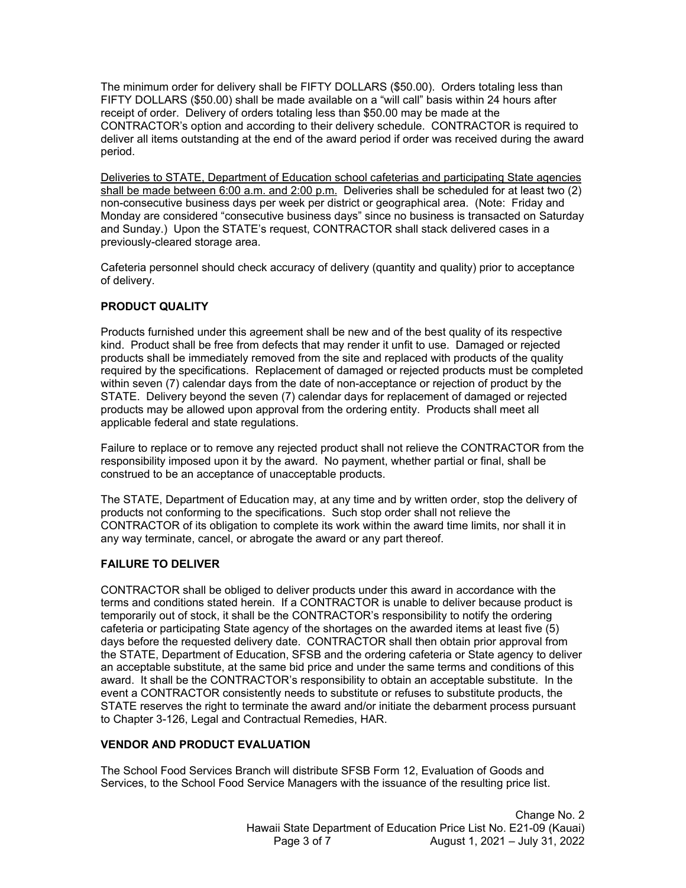The minimum order for delivery shall be FIFTY DOLLARS (\$50.00). Orders totaling less than FIFTY DOLLARS (\$50.00) shall be made available on a "will call" basis within 24 hours after receipt of order. Delivery of orders totaling less than \$50.00 may be made at the CONTRACTOR's option and according to their delivery schedule. CONTRACTOR is required to deliver all items outstanding at the end of the award period if order was received during the award period.

Deliveries to STATE, Department of Education school cafeterias and participating State agencies shall be made between 6:00 a.m. and 2:00 p.m. Deliveries shall be scheduled for at least two (2) non-consecutive business days per week per district or geographical area. (Note: Friday and Monday are considered "consecutive business days" since no business is transacted on Saturday and Sunday.) Upon the STATE's request, CONTRACTOR shall stack delivered cases in a previously-cleared storage area.

Cafeteria personnel should check accuracy of delivery (quantity and quality) prior to acceptance of delivery.

# **PRODUCT QUALITY**

Products furnished under this agreement shall be new and of the best quality of its respective kind. Product shall be free from defects that may render it unfit to use. Damaged or rejected products shall be immediately removed from the site and replaced with products of the quality required by the specifications. Replacement of damaged or rejected products must be completed within seven (7) calendar days from the date of non-acceptance or rejection of product by the STATE. Delivery beyond the seven (7) calendar days for replacement of damaged or rejected products may be allowed upon approval from the ordering entity. Products shall meet all applicable federal and state regulations.

Failure to replace or to remove any rejected product shall not relieve the CONTRACTOR from the responsibility imposed upon it by the award. No payment, whether partial or final, shall be construed to be an acceptance of unacceptable products.

The STATE, Department of Education may, at any time and by written order, stop the delivery of products not conforming to the specifications. Such stop order shall not relieve the CONTRACTOR of its obligation to complete its work within the award time limits, nor shall it in any way terminate, cancel, or abrogate the award or any part thereof.

# **FAILURE TO DELIVER**

CONTRACTOR shall be obliged to deliver products under this award in accordance with the terms and conditions stated herein. If a CONTRACTOR is unable to deliver because product is temporarily out of stock, it shall be the CONTRACTOR's responsibility to notify the ordering cafeteria or participating State agency of the shortages on the awarded items at least five (5) days before the requested delivery date. CONTRACTOR shall then obtain prior approval from the STATE, Department of Education, SFSB and the ordering cafeteria or State agency to deliver an acceptable substitute, at the same bid price and under the same terms and conditions of this award. It shall be the CONTRACTOR's responsibility to obtain an acceptable substitute. In the event a CONTRACTOR consistently needs to substitute or refuses to substitute products, the STATE reserves the right to terminate the award and/or initiate the debarment process pursuant to Chapter 3-126, Legal and Contractual Remedies, HAR.

# **VENDOR AND PRODUCT EVALUATION**

The School Food Services Branch will distribute SFSB Form 12, Evaluation of Goods and Services, to the School Food Service Managers with the issuance of the resulting price list.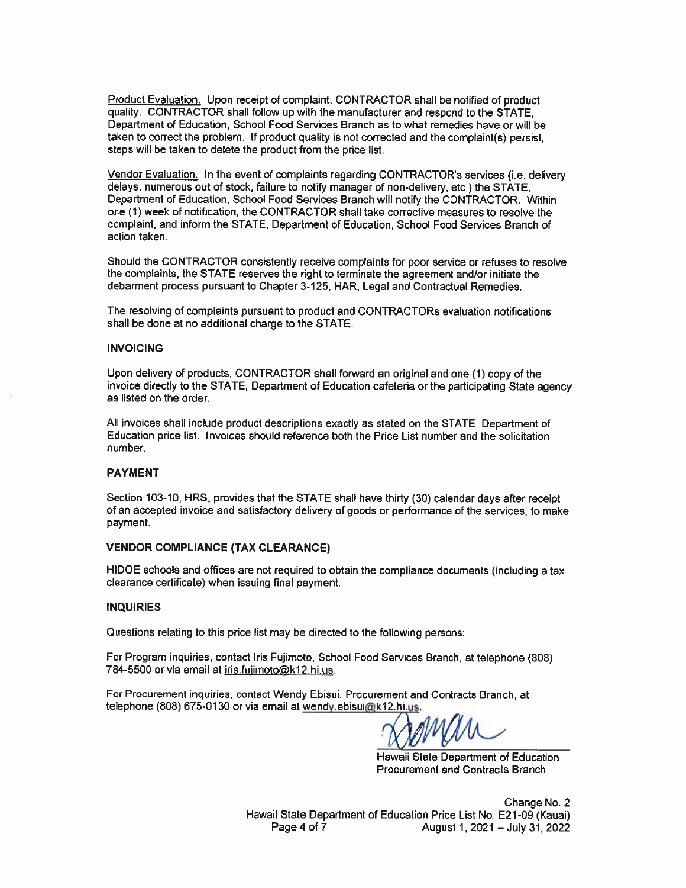Product Evaluation. Upon receipt of complaint, CONTRACTOR shall be notified of product quality. CONTRACTOR shall follow up with the manufacturer and respond to the STATE. Department of Education, School Food Services Branch as to what remedies have or will be taken to correct the problem. If product quality is not corrected and the complaint(s) persist. steps will be taken to delete the product from the price list.

Vendor Evaluation. In the event of complaints regarding CONTRACTOR's services (i.e. delivery delays, numerous out of stock, failure to notify manager of non-delivery, etc.) the STATE. Department of Education, School Food Services Branch will notify the CONTRACTOR. Within one (1) week of notification, the CONTRACTOR shall take corrective measures to resolve the complaint, and inform the STATE, Department of Education, School Food Services Branch of action taken.

Should the CONTRACTOR consistently receive complaints for poor service or refuses to resolve the complaints, the STATE reserves the right to terminate the agreement and/or initiate the debarment process pursuant to Chapter 3-125, HAR, Legal and Contractual Remedies.

The resolving of complaints pursuant to product and CONTRACTORs evaluation notifications shall be done at no additional charge to the STATE.

#### **INVOICING**

Upon delivery of products, CONTRACTOR shall forward an original and one (1) copy of the invoice directly to the STATE, Department of Education cafeteria or the participating State agency as listed on the order.

All invoices shall include product descriptions exactly as stated on the STATE. Department of Education price list. Invoices should reference both the Price List number and the solicitation number.

#### **PAYMENT**

Section 103-10, HRS, provides that the STATE shall have thirty (30) calendar days after receipt of an accepted invoice and satisfactory delivery of goods or performance of the services, to make payment.

#### **VENDOR COMPLIANCE (TAX CLEARANCE)**

HIDOE schools and offices are not required to obtain the compliance documents (including a tax clearance certificate) when issuing final payment.

#### **INQUIRIES**

Questions relating to this price list may be directed to the following persons:

For Program inquiries, contact Iris Fujimoto, School Food Services Branch, at telephone (808) 784-5500 or via email at iris.fujimoto@k12.hi.us.

For Procurement inquiries, contact Wendy Ebisui, Procurement and Contracts Branch, at telephone (808) 675-0130 or via email at wendy ebisui@k12.hi.us.

Hawaii State Department of Education **Procurement and Contracts Branch** 

Change No. 2 Hawaii State Department of Education Price List No. E21-09 (Kauai) Page 4 of 7 August 1, 2021 - July 31, 2022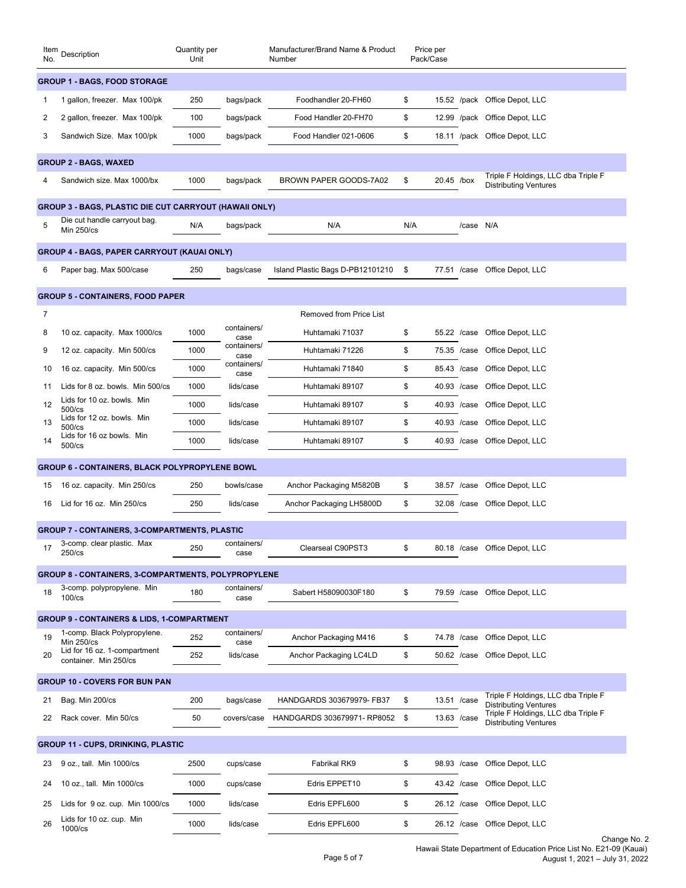| Item<br>No.                                           | Description                                                   | Quantity per<br>Unit |                     | Manufacturer/Brand Name & Product<br>Number |     | Price per<br>Pack/Case |                                                                                                     |  |
|-------------------------------------------------------|---------------------------------------------------------------|----------------------|---------------------|---------------------------------------------|-----|------------------------|-----------------------------------------------------------------------------------------------------|--|
| <b>GROUP 1 - BAGS, FOOD STORAGE</b>                   |                                                               |                      |                     |                                             |     |                        |                                                                                                     |  |
| 1                                                     | 1 gallon, freezer. Max 100/pk                                 | 250                  | bags/pack           | Foodhandler 20-FH60                         | \$  |                        | 15.52 /pack Office Depot, LLC                                                                       |  |
| 2                                                     | 2 gallon, freezer. Max 100/pk                                 | 100                  | bags/pack           | Food Handler 20-FH70                        | \$  | 12.99 /pack            | Office Depot, LLC                                                                                   |  |
| 3                                                     | Sandwich Size. Max 100/pk                                     | 1000                 | bags/pack           | Food Handler 021-0606                       | \$  | 18.11 /pack            | Office Depot, LLC                                                                                   |  |
|                                                       | <b>GROUP 2 - BAGS, WAXED</b>                                  |                      |                     |                                             |     |                        |                                                                                                     |  |
| 4                                                     | Sandwich size, Max 1000/bx                                    | 1000                 | bags/pack           | BROWN PAPER GOODS-7A02                      | \$  | 20.45 /box             | Triple F Holdings, LLC dba Triple F<br><b>Distributing Ventures</b>                                 |  |
|                                                       | <b>GROUP 3 - BAGS, PLASTIC DIE CUT CARRYOUT (HAWAII ONLY)</b> |                      |                     |                                             |     |                        |                                                                                                     |  |
| 5                                                     | Die cut handle carryout bag.                                  | N/A                  | bags/pack           | N/A                                         | N/A | /case                  | N/A                                                                                                 |  |
|                                                       | <b>Min 250/cs</b>                                             |                      |                     |                                             |     |                        |                                                                                                     |  |
|                                                       | <b>GROUP 4 - BAGS, PAPER CARRYOUT (KAUAI ONLY)</b>            |                      |                     |                                             |     |                        |                                                                                                     |  |
| 6                                                     | Paper bag. Max 500/case                                       | 250                  | bags/case           | Island Plastic Bags D-PB12101210            | \$  |                        | 77.51 /case Office Depot, LLC                                                                       |  |
|                                                       | <b>GROUP 5 - CONTAINERS, FOOD PAPER</b>                       |                      |                     |                                             |     |                        |                                                                                                     |  |
| 7                                                     |                                                               |                      |                     | <b>Removed from Price List</b>              |     |                        |                                                                                                     |  |
| 8                                                     | 10 oz. capacity. Max 1000/cs                                  | 1000                 | containers/<br>case | Huhtamaki 71037                             | \$  | 55.22 / case           | Office Depot, LLC                                                                                   |  |
| 9                                                     | 12 oz. capacity. Min 500/cs                                   | 1000                 | containers/<br>case | Huhtamaki 71226                             | \$  | 75.35 /case            | Office Depot, LLC                                                                                   |  |
| 10                                                    | 16 oz. capacity. Min 500/cs                                   | 1000                 | containers/<br>case | Huhtamaki 71840                             | \$  | 85.43 /case            | Office Depot, LLC                                                                                   |  |
| 11                                                    | Lids for 8 oz. bowls. Min 500/cs                              | 1000                 | lids/case           | Huhtamaki 89107                             | \$  | 40.93 /case            | Office Depot, LLC                                                                                   |  |
| 12                                                    | Lids for 10 oz. bowls. Min<br>$500$ /cs                       | 1000                 | lids/case           | Huhtamaki 89107                             | \$  | 40.93 /case            | Office Depot, LLC                                                                                   |  |
| 13                                                    | Lids for 12 oz. bowls. Min<br>$500$ /cs                       | 1000                 | lids/case           | Huhtamaki 89107                             | \$  | 40.93 /case            | Office Depot, LLC                                                                                   |  |
| 14                                                    | Lids for 16 oz bowls. Min<br>$500$ / $cs$                     | 1000                 | lids/case           | Huhtamaki 89107                             | \$  | 40.93 /case            | Office Depot, LLC                                                                                   |  |
| <b>GROUP 6 - CONTAINERS, BLACK POLYPROPYLENE BOWL</b> |                                                               |                      |                     |                                             |     |                        |                                                                                                     |  |
| 15                                                    | 16 oz. capacity. Min 250/cs                                   | 250                  | bowls/case          | Anchor Packaging M5820B                     | \$  | 38.57 / case           | Office Depot, LLC                                                                                   |  |
| 16                                                    | Lid for 16 oz. Min 250/cs                                     | 250                  | lids/case           | Anchor Packaging LH5800D                    | \$  | 32.08 / case           | Office Depot, LLC                                                                                   |  |
|                                                       | <b>GROUP 7 - CONTAINERS, 3-COMPARTMENTS, PLASTIC</b>          |                      |                     |                                             |     |                        |                                                                                                     |  |
| 17                                                    | 3-comp. clear plastic. Max                                    | 250                  | containers/         | Clearseal C90PST3                           | \$  |                        | 80.18 /case Office Depot, LLC                                                                       |  |
|                                                       | 250/cs                                                        |                      | case                |                                             |     |                        |                                                                                                     |  |
|                                                       | <b>GROUP 8 - CONTAINERS, 3-COMPARTMENTS, POLYPROPYLENE</b>    |                      |                     |                                             |     |                        |                                                                                                     |  |
| 18                                                    | 3-comp. polypropylene. Min<br>$100$ / $cs$                    | 180                  | containers/<br>case | Sabert H58090030F180                        | \$  | 79.59 /case            | Office Depot, LLC                                                                                   |  |
|                                                       | <b>GROUP 9 - CONTAINERS &amp; LIDS, 1-COMPARTMENT</b>         |                      |                     |                                             |     |                        |                                                                                                     |  |
| 19                                                    | 1-comp. Black Polypropylene.<br><b>Min 250/cs</b>             | 252                  | containers/<br>case | Anchor Packaging M416                       | \$  | 74.78 / case           | Office Depot, LLC                                                                                   |  |
| 20                                                    | Lid for 16 oz. 1-compartment<br>container. Min 250/cs         | 252                  | lids/case           | Anchor Packaging LC4LD                      | \$  | 50.62 /case            | Office Depot, LLC                                                                                   |  |
| <b>GROUP 10 - COVERS FOR BUN PAN</b>                  |                                                               |                      |                     |                                             |     |                        |                                                                                                     |  |
| 21                                                    | Bag. Min 200/cs                                               | 200                  | bags/case           | HANDGARDS 303679979- FB37                   | \$  | 13.51 /case            | Triple F Holdings, LLC dba Triple F                                                                 |  |
| 22                                                    | Rack cover. Min 50/cs                                         | 50                   | covers/case         | HANDGARDS 303679971-RP8052                  | \$  | 13.63 /case            | <b>Distributing Ventures</b><br>Triple F Holdings, LLC dba Triple F<br><b>Distributing Ventures</b> |  |
|                                                       |                                                               |                      |                     |                                             |     |                        |                                                                                                     |  |
|                                                       | <b>GROUP 11 - CUPS, DRINKING, PLASTIC</b>                     |                      |                     |                                             |     |                        |                                                                                                     |  |
| 23                                                    | 9 oz., tall. Min 1000/cs                                      | 2500                 | cups/case           | Fabrikal RK9                                | \$  | 98.93 /case            | Office Depot, LLC                                                                                   |  |
| 24                                                    | 10 oz., tall. Min 1000/cs                                     | 1000                 | cups/case           | Edris EPPET10                               | \$  | 43.42 / case           | Office Depot, LLC                                                                                   |  |
| 25                                                    | Lids for 9 oz. cup. Min 1000/cs                               | 1000                 | lids/case           | Edris EPFL600                               | \$  | 26.12 /case            | Office Depot, LLC                                                                                   |  |
| 26                                                    | Lids for 10 oz. cup. Min<br>1000/cs                           | 1000                 | lids/case           | Edris EPFL600                               | \$  | 26.12 /case            | Office Depot, LLC                                                                                   |  |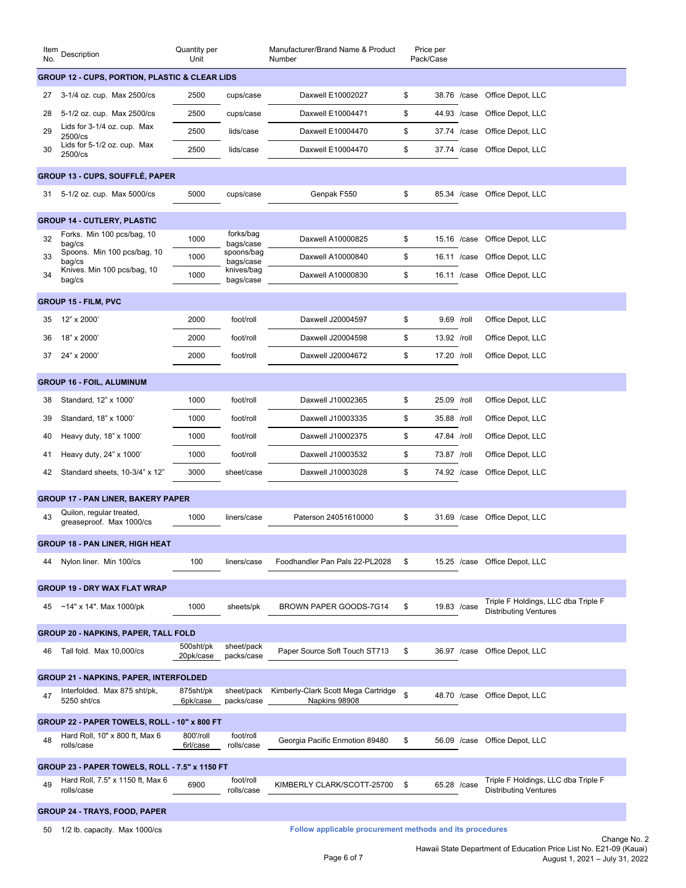| Item<br>No.                                               | Description                                                                                  | Quantity per<br>Unit   |                          | Manufacturer/Brand Name & Product<br>Number |    | Price per<br>Pack/Case |                                                                     |  |
|-----------------------------------------------------------|----------------------------------------------------------------------------------------------|------------------------|--------------------------|---------------------------------------------|----|------------------------|---------------------------------------------------------------------|--|
| <b>GROUP 12 - CUPS, PORTION, PLASTIC &amp; CLEAR LIDS</b> |                                                                                              |                        |                          |                                             |    |                        |                                                                     |  |
| 27                                                        | 3-1/4 oz. cup. Max 2500/cs                                                                   | 2500                   | cups/case                | Daxwell E10002027                           | \$ | 38.76 /case            | Office Depot, LLC                                                   |  |
| 28                                                        | 5-1/2 oz. cup. Max 2500/cs                                                                   | 2500                   | cups/case                | Daxwell E10004471                           | \$ | 44.93 /case            | Office Depot, LLC                                                   |  |
| 29                                                        | Lids for 3-1/4 oz. cup. Max<br>2500/cs                                                       | 2500                   | lids/case                | Daxwell E10004470                           | \$ | 37.74 / case           | Office Depot, LLC                                                   |  |
| 30                                                        | Lids for 5-1/2 oz. cup. Max<br>2500/cs                                                       | 2500                   | lids/case                | Daxwell E10004470                           | \$ | 37.74 /case            | Office Depot, LLC                                                   |  |
|                                                           | <b>GROUP 13 - CUPS, SOUFFLÉ, PAPER</b>                                                       |                        |                          |                                             |    |                        |                                                                     |  |
| 31                                                        | 5-1/2 oz. cup. Max 5000/cs                                                                   | 5000                   | cups/case                | Genpak F550                                 | \$ | 85.34 / case           | Office Depot, LLC                                                   |  |
|                                                           |                                                                                              |                        |                          |                                             |    |                        |                                                                     |  |
|                                                           | <b>GROUP 14 - CUTLERY, PLASTIC</b>                                                           |                        |                          |                                             |    |                        |                                                                     |  |
| 32                                                        | Forks. Min 100 pcs/bag, 10<br>bag/cs                                                         | 1000                   | forks/bag<br>bags/case   | Daxwell A10000825                           | \$ | 15.16 /case            | Office Depot, LLC                                                   |  |
| 33                                                        | Spoons. Min 100 pcs/bag, 10<br>bag/cs                                                        | 1000                   | spoons/bag<br>bags/case  | Daxwell A10000840                           | \$ | 16.11 /case            | Office Depot, LLC                                                   |  |
| 34                                                        | Knives. Min 100 pcs/bag, 10<br>bag/cs                                                        | 1000                   | knives/bag<br>bags/case  | Daxwell A10000830                           | \$ | 16.11 /case            | Office Depot, LLC                                                   |  |
|                                                           | <b>GROUP 15 - FILM, PVC</b>                                                                  |                        |                          |                                             |    |                        |                                                                     |  |
| 35                                                        | 12" x 2000'                                                                                  | 2000                   | foot/roll                | Daxwell J20004597                           | \$ | 9.69 /roll             | Office Depot, LLC                                                   |  |
| 36                                                        | 18" x 2000'                                                                                  | 2000                   | foot/roll                | Daxwell J20004598                           | \$ | 13.92 /roll            | Office Depot, LLC                                                   |  |
| 37                                                        | 24" x 2000'                                                                                  | 2000                   | foot/roll                | Daxwell J20004672                           | \$ | 17.20 /roll            | Office Depot, LLC                                                   |  |
|                                                           |                                                                                              |                        |                          |                                             |    |                        |                                                                     |  |
|                                                           | <b>GROUP 16 - FOIL, ALUMINUM</b>                                                             |                        |                          |                                             |    |                        |                                                                     |  |
| 38                                                        | Standard, 12" x 1000'                                                                        | 1000                   | foot/roll                | Daxwell J10002365                           | \$ | 25.09 /roll            | Office Depot, LLC                                                   |  |
| 39                                                        | Standard, 18" x 1000'                                                                        | 1000                   | foot/roll                | Daxwell J10003335                           | \$ | 35.88 /roll            | Office Depot, LLC                                                   |  |
| 40                                                        | Heavy duty, 18" x 1000'                                                                      | 1000                   | foot/roll                | Daxwell J10002375                           | \$ | 47.84 /roll            | Office Depot, LLC                                                   |  |
| 41                                                        | Heavy duty, 24" x 1000"                                                                      | 1000                   | foot/roll                | Daxwell J10003532                           | \$ | 73.87 /roll            | Office Depot, LLC                                                   |  |
| 42                                                        | Standard sheets, 10-3/4" x 12"                                                               | 3000                   | sheet/case               | Daxwell J10003028                           | \$ | 74.92 /case            | Office Depot, LLC                                                   |  |
|                                                           | <b>GROUP 17 - PAN LINER, BAKERY PAPER</b>                                                    |                        |                          |                                             |    |                        |                                                                     |  |
| 43                                                        | Quilon, regular treated,<br>greaseproof. Max 1000/cs                                         | 1000                   | liners/case              | Paterson 24051610000                        | \$ | 31.69 / case           | Office Depot, LLC                                                   |  |
|                                                           | <b>GROUP 18 - PAN LINER, HIGH HEAT</b>                                                       |                        |                          |                                             |    |                        |                                                                     |  |
| 44                                                        | Nylon liner. Min 100/cs                                                                      | 100                    | liners/case              | Foodhandler Pan Pals 22-PL2028              | \$ | 15.25 / case           | Office Depot, LLC                                                   |  |
|                                                           |                                                                                              |                        |                          |                                             |    |                        |                                                                     |  |
|                                                           | <b>GROUP 19 - DRY WAX FLAT WRAP</b>                                                          |                        |                          |                                             |    |                        |                                                                     |  |
| 45                                                        | $~14"$ x 14". Max 1000/pk                                                                    | 1000                   | sheets/pk                | BROWN PAPER GOODS-7G14                      | \$ | 19.83 /case            | Triple F Holdings, LLC dba Triple F<br><b>Distributing Ventures</b> |  |
|                                                           | <b>GROUP 20 - NAPKINS, PAPER, TALL FOLD</b>                                                  |                        |                          |                                             |    |                        |                                                                     |  |
| 46                                                        | Tall fold. Max 10,000/cs                                                                     | 500sht/pk<br>20pk/case | sheet/pack<br>packs/case | Paper Source Soft Touch ST713               | \$ | 36.97 /case            | Office Depot, LLC                                                   |  |
| <b>GROUP 21 - NAPKINS, PAPER, INTERFOLDED</b>             |                                                                                              |                        |                          |                                             |    |                        |                                                                     |  |
| 47                                                        | Interfolded. Max 875 sht/pk,                                                                 | 875sht/pk              | sheet/pack               | Kimberly-Clark Scott Mega Cartridge         | \$ |                        | Office Depot, LLC                                                   |  |
|                                                           | 5250 sht/cs                                                                                  | 6pk/case               | packs/case               | Napkins 98908                               |    | 48.70 / case           |                                                                     |  |
| GROUP 22 - PAPER TOWELS, ROLL - 10" x 800 FT              |                                                                                              |                        |                          |                                             |    |                        |                                                                     |  |
| 48                                                        | Hard Roll, 10" x 800 ft, Max 6<br>rolls/case                                                 | 800'/roll<br>6rl/case  | foot/roll<br>rolls/case  | Georgia Pacific Enmotion 89480              | \$ | 56.09 / case           | Office Depot, LLC                                                   |  |
|                                                           | GROUP 23 - PAPER TOWELS, ROLL - 7.5" x 1150 FT                                               |                        |                          |                                             |    |                        |                                                                     |  |
| 49                                                        | Hard Roll, 7.5" x 1150 ft, Max 6                                                             | 6900                   | foot/roll                | KIMBERLY CLARK/SCOTT-25700                  | \$ | 65.28 / case           | Triple F Holdings, LLC dba Triple F                                 |  |
|                                                           | rolls/case                                                                                   |                        | rolls/case               |                                             |    |                        | <b>Distributing Ventures</b>                                        |  |
| <b>GROUP 24 - TRAYS, FOOD, PAPER</b>                      |                                                                                              |                        |                          |                                             |    |                        |                                                                     |  |
|                                                           | Follow applicable procurement methods and its procedures<br>50 1/2 lb. capacity. Max 1000/cs |                        |                          |                                             |    |                        |                                                                     |  |